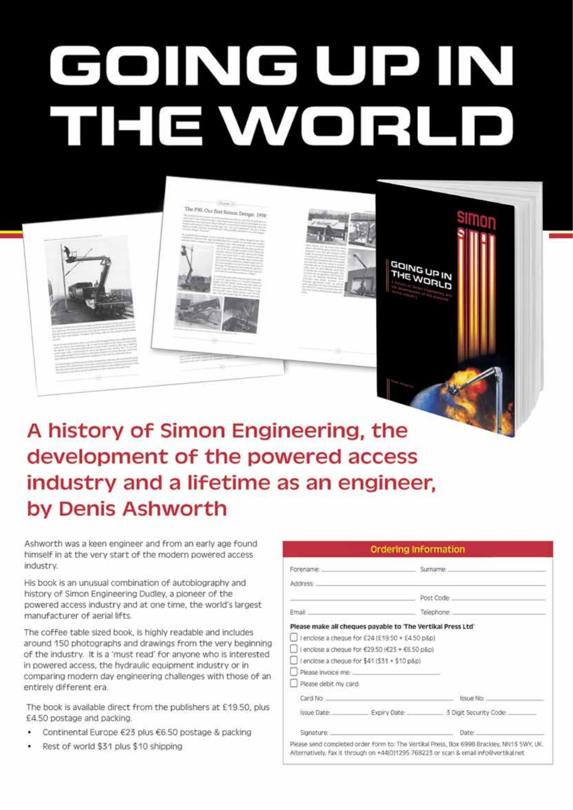## GOINGUPIN THE WORLD



The P30, Our first Simon Design, 1956

Ashworth was a keen engineer and from an early age found himself in at the very start of the modern powered access industry.

His book is an unusual combination of autobiography and history of Simon Engineering Dudley, a pioneer of the powered access industry and at one time, the world's largest manufacturer of aerial lifts.

The coffee table sized book, is highly readable and includes around 150 photographs and drawings from the very beginning of the industry. It is a 'must read' for anyone who is interested in powered access, the hydraulic equipment industry or in comparing modern day engineering challenges with those of an entirely different era.

The book is available direct from the publishers at £19.50, plus £4.50 postage and packing.

- Continental Europe €23 plus €6.50 postage & packing
- Rest of world \$31 plus \$10 shipping

| Forename:             |                                                             | Sumame                              |
|-----------------------|-------------------------------------------------------------|-------------------------------------|
| Address:              |                                                             |                                     |
|                       |                                                             | Post Code                           |
| Email:                |                                                             | Telephone                           |
|                       | Please make all cheques payable to 'The Vertikal Press Ltd' |                                     |
|                       | I enclose a cheque for £24 (£19.50 + £4.50 p8p)             |                                     |
|                       | I enclose a cheque for €29.50 (€23 + €6.50 p&p)             |                                     |
|                       | I enclose a cheque for \$41 (\$31 + \$10 p&p)               |                                     |
| Please invoice me.    |                                                             |                                     |
| Please debit my card: |                                                             |                                     |
| Card No:              |                                                             | Issue No.                           |
| Issue Date:           |                                                             | Expiry Date: 3 Digit Security Code: |
| Signature:            |                                                             | Date:                               |

**GOING UP IN THE WORLD**